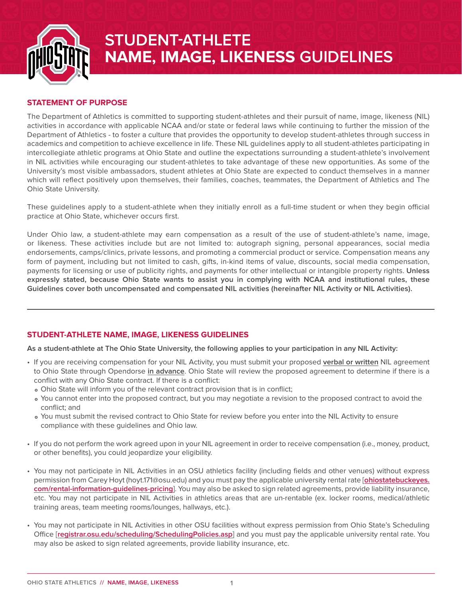

# **STUDENT-ATHLETE NAME, IMAGE, LIKENESS GUIDELINES**

## **STATEMENT OF PURPOSE**

The Department of Athletics is committed to supporting student-athletes and their pursuit of name, image, likeness (NIL) activities in accordance with applicable NCAA and/or state or federal laws while continuing to further the mission of the Department of Athletics - to foster a culture that provides the opportunity to develop student-athletes through success in academics and competition to achieve excellence in life. These NIL guidelines apply to all student-athletes participating in intercollegiate athletic programs at Ohio State and outline the expectations surrounding a student-athlete's involvement in NIL activities while encouraging our student-athletes to take advantage of these new opportunities. As some of the University's most visible ambassadors, student athletes at Ohio State are expected to conduct themselves in a manner which will reflect positively upon themselves, their families, coaches, teammates, the Department of Athletics and The Ohio State University.

These guidelines apply to a student-athlete when they initially enroll as a full-time student or when they begin official practice at Ohio State, whichever occurs first.

Under Ohio law, a student-athlete may earn compensation as a result of the use of student-athlete's name, image, or likeness. These activities include but are not limited to: autograph signing, personal appearances, social media endorsements, camps/clinics, private lessons, and promoting a commercial product or service. Compensation means any form of payment, including but not limited to cash, gifts, in-kind items of value, discounts, social media compensation, payments for licensing or use of publicity rights, and payments for other intellectual or intangible property rights. **Unless expressly stated, because Ohio State wants to assist you in complying with NCAA and institutional rules, these Guidelines cover both uncompensated and compensated NIL activities (hereinafter NIL Activity or NIL Activities).** 

## **STUDENT-ATHLETE NAME, IMAGE, LIKENESS GUIDELINES**

**As a student-athlete at The Ohio State University, the following applies to your participation in any NIL Activity:**

- If you are receiving compensation for your NIL Activity, you must submit your proposed **verbal or written** NIL agreement to Ohio State through Opendorse **in advance**. Ohio State will review the proposed agreement to determine if there is a conflict with any Ohio State contract. If there is a conflict:
	- **<sup>o</sup>** Ohio State will inform you of the relevant contract provision that is in conflict;
	- **<sup>o</sup>** You cannot enter into the proposed contract, but you may negotiate a revision to the proposed contract to avoid the conflict; and
	- **<sup>o</sup>** You must submit the revised contract to Ohio State for review before you enter into the NIL Activity to ensure compliance with these guidelines and Ohio law.
- If you do not perform the work agreed upon in your NIL agreement in order to receive compensation (i.e., money, product, or other benefits), you could jeopardize your eligibility.
- You may not participate in NIL Activities in an OSU athletics facility (including fields and other venues) without express permission from Carey Hoyt (hoyt.171@osu.edu) and you must pay the applicable university rental rate [**[ohiostatebuckeyes.](http://ohiostatebuckeyes.com/rental-information-guidelines-pricing) [com/rental-information-guidelines-pricing](http://ohiostatebuckeyes.com/rental-information-guidelines-pricing)**]. You may also be asked to sign related agreements, provide liability insurance, etc. You may not participate in NIL Activities in athletics areas that are un-rentable (ex. locker rooms, medical/athletic training areas, team meeting rooms/lounges, hallways, etc.).
- You may not participate in NIL Activities in other OSU facilities without express permission from Ohio State's Scheduling Office [**[registrar.osu.edu/scheduling/SchedulingPolicies.asp](https://registrar.osu.edu/scheduling/SchedulingPolicies.asp)**] and you must pay the applicable university rental rate. You may also be asked to sign related agreements, provide liability insurance, etc.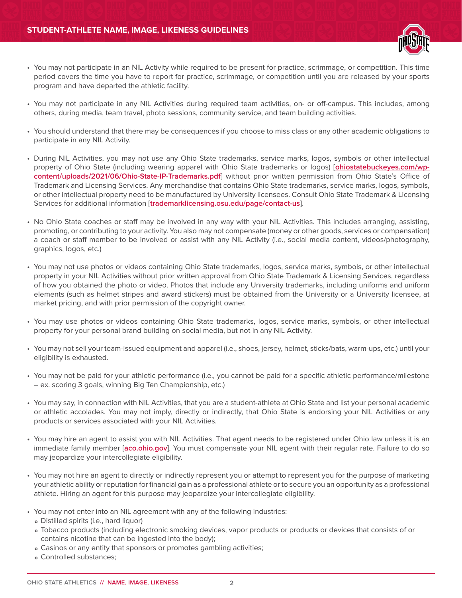

- You may not participate in an NIL Activity while required to be present for practice, scrimmage, or competition. This time period covers the time you have to report for practice, scrimmage, or competition until you are released by your sports program and have departed the athletic facility.
- You may not participate in any NIL Activities during required team activities, on- or off-campus. This includes, among others, during media, team travel, photo sessions, community service, and team building activities.
- You should understand that there may be consequences if you choose to miss class or any other academic obligations to participate in any NIL Activity.
- During NIL Activities, you may not use any Ohio State trademarks, service marks, logos, symbols or other intellectual property of Ohio State (including wearing apparel with Ohio State trademarks or logos) [**[ohiostatebuckeyes.com/wp](https://ohiostatebuckeyes.com/wp-content/uploads/2021/06/Ohio-State-IP-Trademarks.pdf)[content/uploads/2021/06/Ohio-State-IP-Trademarks.pdf](https://ohiostatebuckeyes.com/wp-content/uploads/2021/06/Ohio-State-IP-Trademarks.pdf)**] without prior written permission from Ohio State's Office of Trademark and Licensing Services. Any merchandise that contains Ohio State trademarks, service marks, logos, symbols, or other intellectual property need to be manufactured by University licensees. Consult Ohio State Trademark & Licensing Services for additional information [**[trademarklicensing.osu.edu/page/contact-us](https://trademarklicensing.osu.edu/page/contact-us)**].
- No Ohio State coaches or staff may be involved in any way with your NIL Activities. This includes arranging, assisting, promoting, or contributing to your activity. You also may not compensate (money or other goods, services or compensation) a coach or staff member to be involved or assist with any NIL Activity (i.e., social media content, videos/photography, graphics, logos, etc.)
- You may not use photos or videos containing Ohio State trademarks, logos, service marks, symbols, or other intellectual property in your NIL Activities without prior written approval from Ohio State Trademark & Licensing Services, regardless of how you obtained the photo or video. Photos that include any University trademarks, including uniforms and uniform elements (such as helmet stripes and award stickers) must be obtained from the University or a University licensee, at market pricing, and with prior permission of the copyright owner.
- You may use photos or videos containing Ohio State trademarks, logos, service marks, symbols, or other intellectual property for your personal brand building on social media, but not in any NIL Activity.
- You may not sell your team-issued equipment and apparel (i.e., shoes, jersey, helmet, sticks/bats, warm-ups, etc.) until your eligibility is exhausted.
- You may not be paid for your athletic performance (i.e., you cannot be paid for a specific athletic performance/milestone – ex. scoring 3 goals, winning Big Ten Championship, etc.)
- You may say, in connection with NIL Activities, that you are a student-athlete at Ohio State and list your personal academic or athletic accolades. You may not imply, directly or indirectly, that Ohio State is endorsing your NIL Activities or any products or services associated with your NIL Activities.
- You may hire an agent to assist you with NIL Activities. That agent needs to be registered under Ohio law unless it is an immediate family member [**[aco.ohio.gov](https://www.aco.ohio.gov)**]. You must compensate your NIL agent with their regular rate. Failure to do so may jeopardize your intercollegiate eligibility.
- You may not hire an agent to directly or indirectly represent you or attempt to represent you for the purpose of marketing your athletic ability or reputation for financial gain as a professional athlete or to secure you an opportunity as a professional athlete. Hiring an agent for this purpose may jeopardize your intercollegiate eligibility.
- You may not enter into an NIL agreement with any of the following industries:
	- **<sup>o</sup>** Distilled spirits (i.e., hard liquor)
	- **<sup>o</sup>** Tobacco products (including electronic smoking devices, vapor products or products or devices that consists of or contains nicotine that can be ingested into the body);
	- **o** Casinos or any entity that sponsors or promotes gambling activities;
	- **<sup>o</sup>** Controlled substances;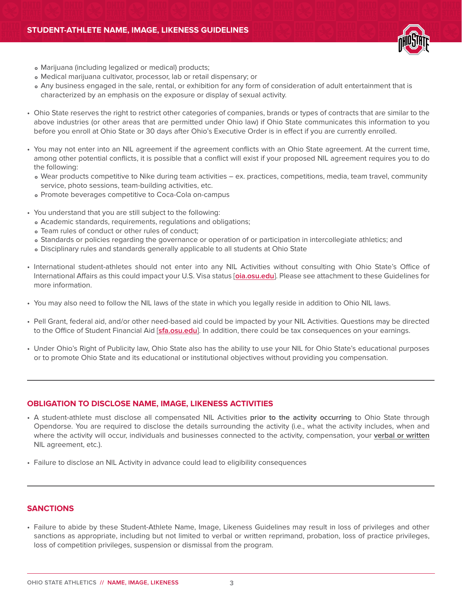

- **<sup>o</sup>** Marijuana (including legalized or medical) products;
- **<sup>o</sup>** Medical marijuana cultivator, processor, lab or retail dispensary; or
- **<sup>o</sup>** Any business engaged in the sale, rental, or exhibition for any form of consideration of adult entertainment that is characterized by an emphasis on the exposure or display of sexual activity.
- Ohio State reserves the right to restrict other categories of companies, brands or types of contracts that are similar to the above industries (or other areas that are permitted under Ohio law) if Ohio State communicates this information to you before you enroll at Ohio State or 30 days after Ohio's Executive Order is in effect if you are currently enrolled.
- You may not enter into an NIL agreement if the agreement conflicts with an Ohio State agreement. At the current time, among other potential conflicts, it is possible that a conflict will exist if your proposed NIL agreement requires you to do the following:
	- **<sup>o</sup>** Wear products competitive to Nike during team activities ex. practices, competitions, media, team travel, community service, photo sessions, team-building activities, etc.
	- **<sup>o</sup>** Promote beverages competitive to Coca-Cola on-campus
- You understand that you are still subject to the following:
	- **<sup>o</sup>** Academic standards, requirements, regulations and obligations;
	- **<sup>o</sup>** Team rules of conduct or other rules of conduct;
	- **<sup>o</sup>** Standards or policies regarding the governance or operation of or participation in intercollegiate athletics; and
	- **<sup>o</sup>** Disciplinary rules and standards generally applicable to all students at Ohio State
- International student-athletes should not enter into any NIL Activities without consulting with Ohio State's Office of International Affairs as this could impact your U.S. Visa status [**[oia.osu.edu](https://oia.osu.edu/)**]. Please see attachment to these Guidelines for more information.
- You may also need to follow the NIL laws of the state in which you legally reside in addition to Ohio NIL laws.
- Pell Grant, federal aid, and/or other need-based aid could be impacted by your NIL Activities. Questions may be directed to the Office of Student Financial Aid [**[sfa.osu.edu](https://sfa.osu.edu/)**]. In addition, there could be tax consequences on your earnings.
- Under Ohio's Right of Publicity law, Ohio State also has the ability to use your NIL for Ohio State's educational purposes or to promote Ohio State and its educational or institutional objectives without providing you compensation.

#### **OBLIGATION TO DISCLOSE NAME, IMAGE, LIKENESS ACTIVITIES**

- A student-athlete must disclose all compensated NIL Activities **prior to the activity occurring** to Ohio State through Opendorse. You are required to disclose the details surrounding the activity (i.e., what the activity includes, when and where the activity will occur, individuals and businesses connected to the activity, compensation, your **verbal or written** NIL agreement, etc.).
- Failure to disclose an NIL Activity in advance could lead to eligibility consequences

## **SANCTIONS**

• Failure to abide by these Student-Athlete Name, Image, Likeness Guidelines may result in loss of privileges and other sanctions as appropriate, including but not limited to verbal or written reprimand, probation, loss of practice privileges, loss of competition privileges, suspension or dismissal from the program.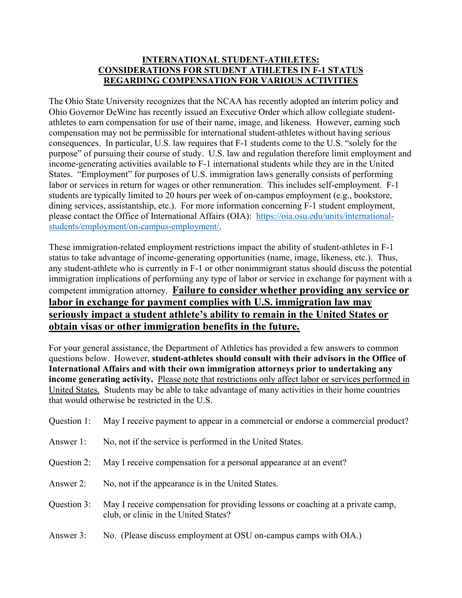## **INTERNATIONAL STUDENT-ATHLETES: CONSIDERATIONS FOR STUDENT ATHLETES IN F-1 STATUS REGARDING COMPENSATION FOR VARIOUS ACTIVITIES**

The Ohio State University recognizes that the NCAA has recently adopted an interim policy and Ohio Governor DeWine has recently issued an Executive Order which allow collegiate studentathletes to earn compensation for use of their name, image, and likeness. However, earning such compensation may not be permissible for international student-athletes without having serious consequences. In particular, U.S. law requires that F-1 students come to the U.S. "solely for the purpose" of pursuing their course of study. U.S. law and regulation therefore limit employment and income-generating activities available to F-1 international students while they are in the United States. "Employment" for purposes of U.S. immigration laws generally consists of performing labor or services in return for wages or other remuneration. This includes self-employment. F-1 students are typically limited to 20 hours per week of on-campus employment (e.g., bookstore, dining services, assistantship, etc.). For more information concerning F-1 student employment, please contact the Office of International Affairs (OIA): https://oia.osu.edu/units/internationalstudents/employment/on-campus-employment/.

These immigration-related employment restrictions impact the ability of student-athletes in F-1 status to take advantage of income-generating opportunities (name, image, likeness, etc.). Thus, any student-athlete who is currently in F-1 or other nonimmigrant status should discuss the potential immigration implications of performing any type of labor or service in exchange for payment with a competent immigration attorney. **Failure to consider whether providing any service or labor in exchange for payment complies with U.S. immigration law may seriously impact a student athlete's ability to remain in the United States or obtain visas or other immigration benefits in the future.**

For your general assistance, the Department of Athletics has provided a few answers to common questions below. However, **student-athletes should consult with their advisors in the Office of International Affairs and with their own immigration attorneys prior to undertaking any income generating activity.** Please note that restrictions only affect labor or services performed in United States. Students may be able to take advantage of many activities in their home countries that would otherwise be restricted in the U.S.

| Question 1: | May I receive payment to appear in a commercial or endorse a commercial product?                                         |
|-------------|--------------------------------------------------------------------------------------------------------------------------|
| Answer 1:   | No, not if the service is performed in the United States.                                                                |
| Question 2: | May I receive compensation for a personal appearance at an event?                                                        |
| Answer 2:   | No, not if the appearance is in the United States.                                                                       |
| Question 3: | May I receive compensation for providing lessons or coaching at a private camp,<br>club, or clinic in the United States? |
| Answer 3:   | No. (Please discuss employment at OSU on-campus camps with OIA.)                                                         |